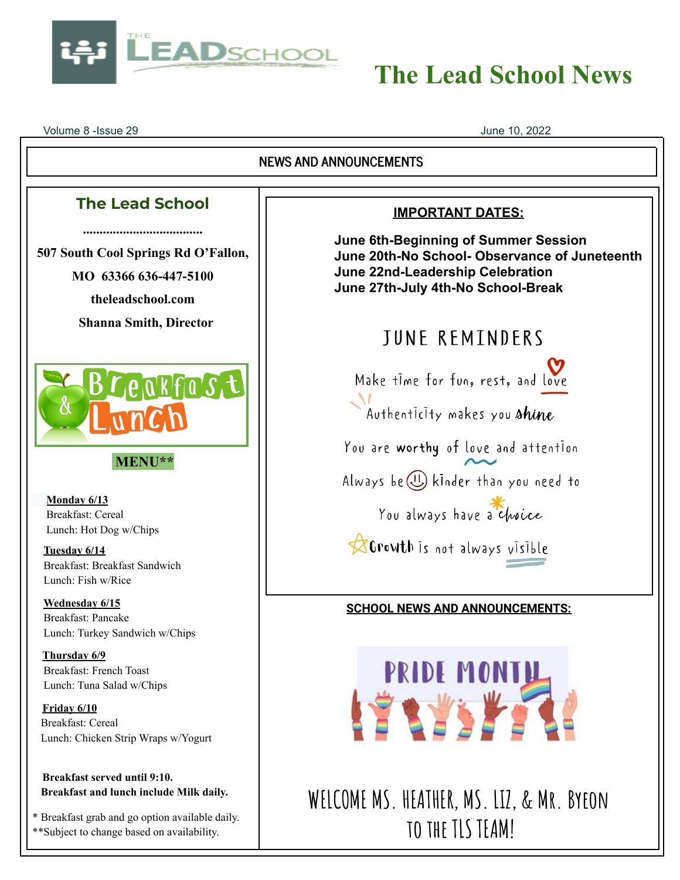

# **The Lead School News**

Volume 8 -Issue 29 June 10, 2022

\*\*Subject to change based on availability.

#### **NEWS AND ANNOUNCEMENTS The Lead School IMPORTANT DATES: .................................... June 6th-Beginning of Summer Session 507 South Cool Springs Rd O'Fallon, June 20th-No School- Observance of Juneteenth June 22nd-Leadership Celebration MO 63366 636-447-5100 June 27th-July 4th-No School-Break theleadschool.com Shanna Smith, Director TUNE REMINDERS** Make time for fun, rest, and love OKFOSt Authenticity makes you shine You are worthy of love and attention **MENU\*\*** Always be (1) kinder than you need to **Monday 6/13** You always have a choice Breakfast: Cereal Lunch: Hot Dog w/Chips Growth is not always visible **Tuesday 6/14** Breakfast: Breakfast Sandwich Lunch: Fish w/Rice **Wednesday 6/15 SCHOOL NEWS AND ANNOUNCEMENTS:** Breakfast: Pancake Lunch: Turkey Sandwich w/Chips **Thursday 6/9** PRIDE MONTH Breakfast: French Toast Lunch: Tuna Salad w/Chips LE SYSYSTE **Friday 6/10** Breakfast: Cereal Lunch: Chicken Strip Wraps w/Yogurt **Breakfast served until 9:10. Breakfast and lunch include Milk daily. WELCOME MS. HEATHER, MS. LIZ, & Mr. Byeon** \* Breakfast grab and go option available daily. **to the TLS TEAM!**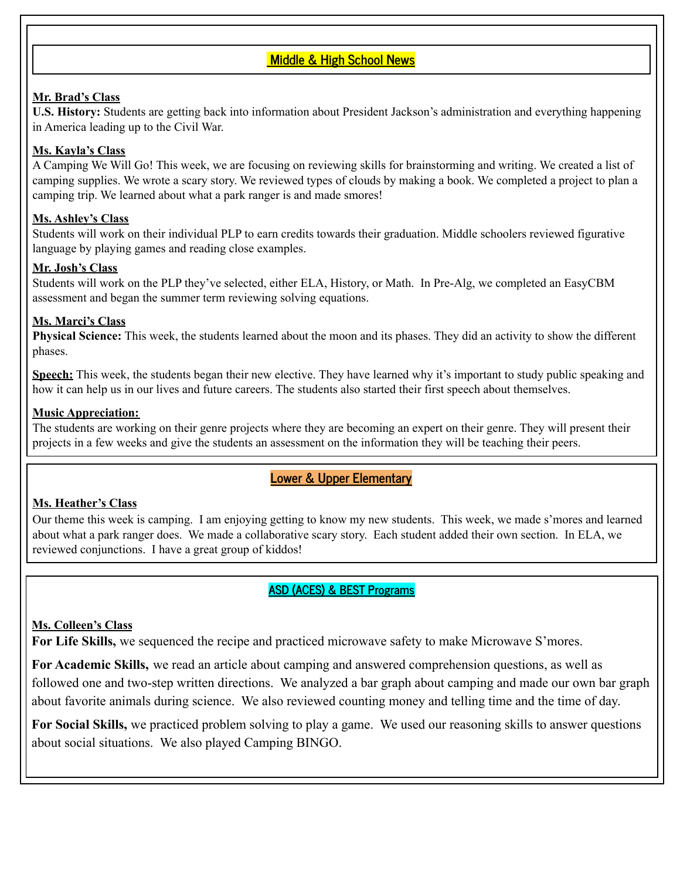## **Middle & High School News**

#### **Mr. Brad's Class**

**U.S. History:** Students are getting back into information about President Jackson's administration and everything happening in America leading up to the Civil War.

#### **Ms. Kayla's Class**

A Camping We Will Go! This week, we are focusing on reviewing skills for brainstorming and writing. We created a list of camping supplies. We wrote a scary story. We reviewed types of clouds by making a book. We completed a project to plan a camping trip. We learned about what a park ranger is and made smores!

#### **Ms. Ashley's Class**

Students will work on their individual PLP to earn credits towards their graduation. Middle schoolers reviewed figurative language by playing games and reading close examples.

#### **Mr. Josh's Class**

Students will work on the PLP they've selected, either ELA, History, or Math. In Pre-Alg, we completed an EasyCBM assessment and began the summer term reviewing solving equations.

#### **Ms. Marci's Class**

**Physical Science:** This week, the students learned about the moon and its phases. They did an activity to show the different phases.

**Speech:** This week, the students began their new elective. They have learned why it's important to study public speaking and how it can help us in our lives and future careers. The students also started their first speech about themselves.

#### **Music Appreciation:**

The students are working on their genre projects where they are becoming an expert on their genre. They will present their projects in a few weeks and give the students an assessment on the information they will be teaching their peers.

#### **Lower & Upper Elementary**

#### **Ms. Heather's Class**

Our theme this week is camping. I am enjoying getting to know my new students. This week, we made s'mores and learned about what a park ranger does. We made a collaborative scary story. Each student added their own section. In ELA, we reviewed conjunctions. I have a great group of kiddos!

#### **ASD (ACES) & BEST Programs**

#### **Ms. Colleen's Class**

**For Life Skills,** we sequenced the recipe and practiced microwave safety to make Microwave S'mores.

**For Academic Skills,** we read an article about camping and answered comprehension questions, as well as followed one and two-step written directions. We analyzed a bar graph about camping and made our own bar graph about favorite animals during science. We also reviewed counting money and telling time and the time of day.

**For Social Skills,** we practiced problem solving to play a game. We used our reasoning skills to answer questions about social situations. We also played Camping BINGO.